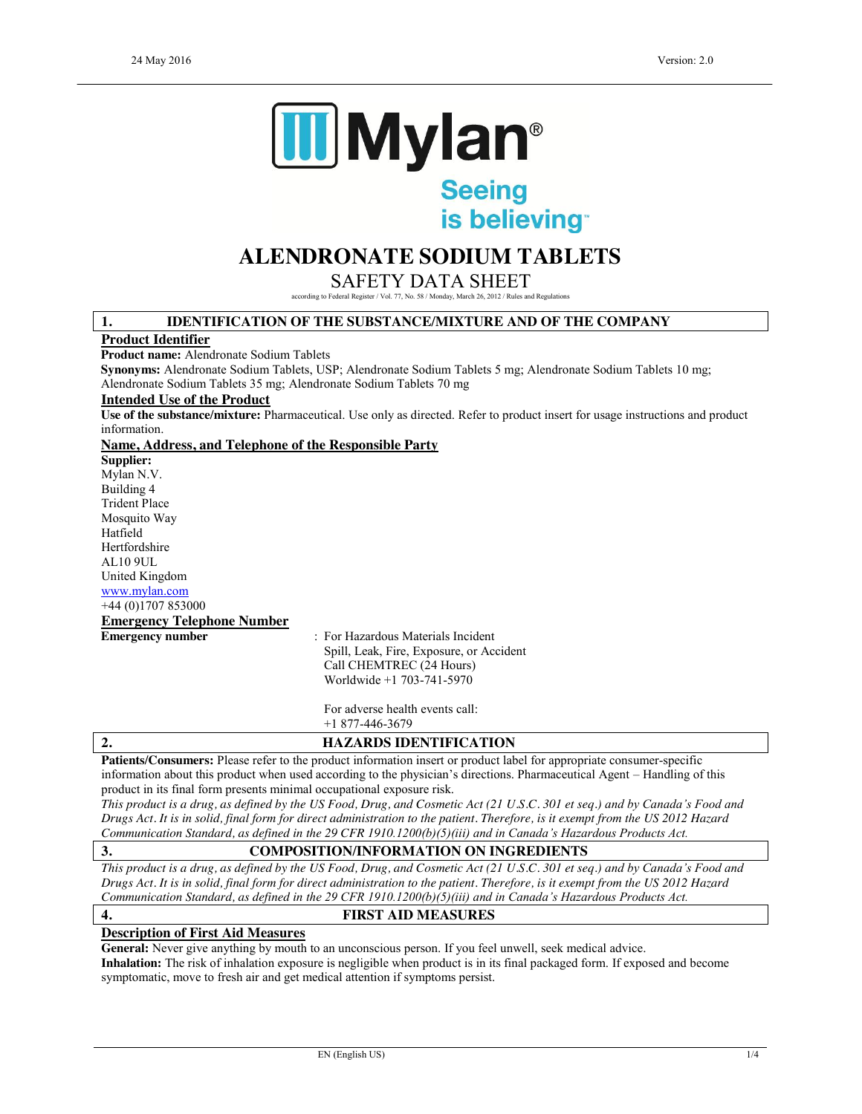

is believing

# **ALENDRONATE SODIUM TABLETS**

SAFETY DATA SHEET

according to Federal Register / Vol. 77, No. 58 / Monday, March 26, 2012 / Rules and Regulations

## **1. IDENTIFICATION OF THE SUBSTANCE/MIXTURE AND OF THE COMPANY**

### **Product Identifier**

**Product name:** Alendronate Sodium Tablets

**Synonyms:** Alendronate Sodium Tablets, USP; Alendronate Sodium Tablets 5 mg; Alendronate Sodium Tablets 10 mg;

Alendronate Sodium Tablets 35 mg; Alendronate Sodium Tablets 70 mg

## **Intended Use of the Product**

**Use of the substance/mixture:** Pharmaceutical. Use only as directed. Refer to product insert for usage instructions and product information.

### **Name, Address, and Telephone of the Responsible Party**

**Supplier:** Mylan N.V. Building 4 Trident Place Mosquito Way Hatfield Hertfordshire AL10 9UL United Kingdom www.mylan.com +44 (0)1707 853000 **Emergency Telephone Number**

**Emergency number** : For Hazardous Materials Incident Spill, Leak, Fire, Exposure, or Accident Call CHEMTREC (24 Hours) Worldwide +1 703-741-5970

> For adverse health events call: +1 877-446-3679

## **2. HAZARDS IDENTIFICATION**

**Patients/Consumers:** Please refer to the product information insert or product label for appropriate consumer-specific information about this product when used according to the physician's directions. Pharmaceutical Agent – Handling of this product in its final form presents minimal occupational exposure risk.

*This product is a drug, as defined by the US Food, Drug, and Cosmetic Act (21 U.S.C. 301 et seq.) and by Canada's Food and Drugs Act. It is in solid, final form for direct administration to the patient. Therefore, is it exempt from the US 2012 Hazard Communication Standard, as defined in the 29 CFR 1910.1200(b)(5)(iii) and in Canada's Hazardous Products Act.*

## **3. COMPOSITION/INFORMATION ON INGREDIENTS**

*This product is a drug, as defined by the US Food, Drug, and Cosmetic Act (21 U.S.C. 301 et seq.) and by Canada's Food and Drugs Act. It is in solid, final form for direct administration to the patient. Therefore, is it exempt from the US 2012 Hazard Communication Standard, as defined in the 29 CFR 1910.1200(b)(5)(iii) and in Canada's Hazardous Products Act.*

## **4. FIRST AID MEASURES**

## **Description of First Aid Measures**

General: Never give anything by mouth to an unconscious person. If you feel unwell, seek medical advice. **Inhalation:** The risk of inhalation exposure is negligible when product is in its final packaged form. If exposed and become symptomatic, move to fresh air and get medical attention if symptoms persist.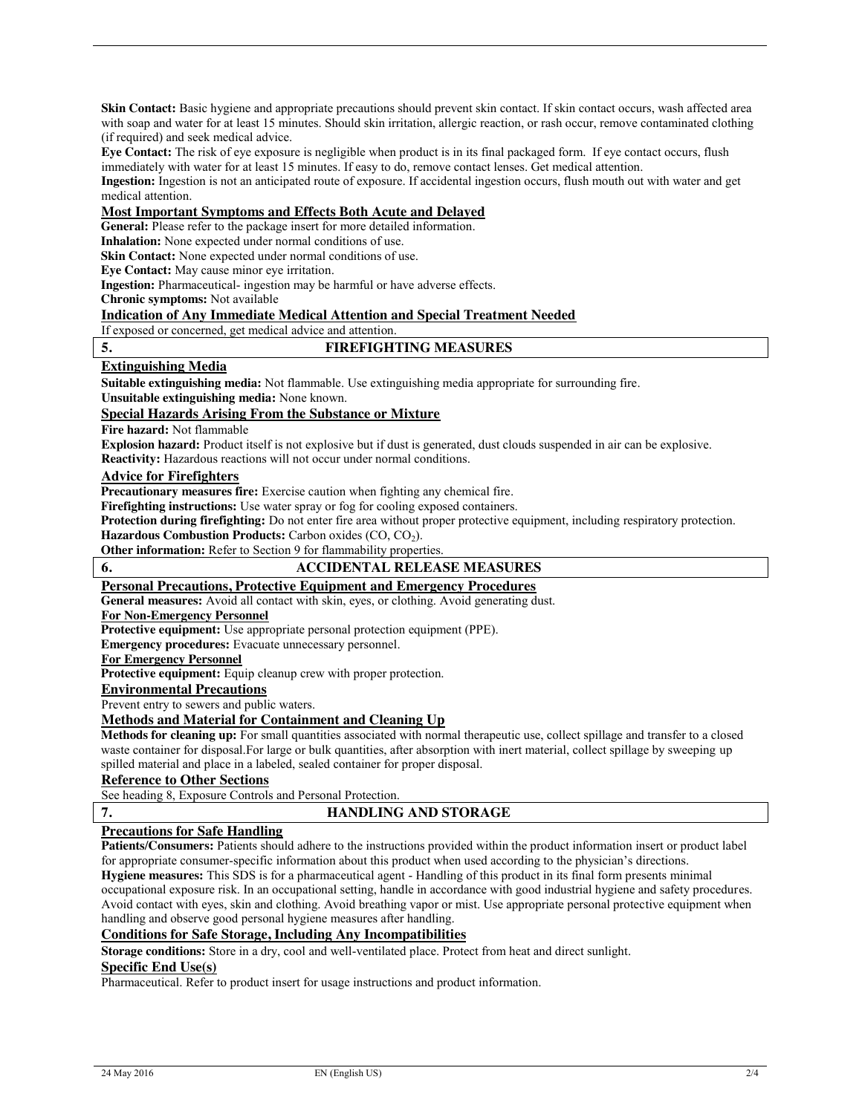**Skin Contact:** Basic hygiene and appropriate precautions should prevent skin contact. If skin contact occurs, wash affected area with soap and water for at least 15 minutes. Should skin irritation, allergic reaction, or rash occur, remove contaminated clothing (if required) and seek medical advice.

**Eye Contact:** The risk of eye exposure is negligible when product is in its final packaged form. If eye contact occurs, flush immediately with water for at least 15 minutes. If easy to do, remove contact lenses. Get medical attention.

**Ingestion:** Ingestion is not an anticipated route of exposure. If accidental ingestion occurs, flush mouth out with water and get medical attention.

## **Most Important Symptoms and Effects Both Acute and Delayed**

**General:** Please refer to the package insert for more detailed information.

**Inhalation:** None expected under normal conditions of use.

**Skin Contact:** None expected under normal conditions of use.

**Eye Contact:** May cause minor eye irritation.

**Ingestion:** Pharmaceutical- ingestion may be harmful or have adverse effects.

**Chronic symptoms:** Not available

### **Indication of Any Immediate Medical Attention and Special Treatment Needed**

If exposed or concerned, get medical advice and attention.

## **5. FIREFIGHTING MEASURES**

## **Extinguishing Media**

**Suitable extinguishing media:** Not flammable. Use extinguishing media appropriate for surrounding fire.

**Unsuitable extinguishing media:** None known.

## **Special Hazards Arising From the Substance or Mixture**

**Fire hazard:** Not flammable

**Explosion hazard:** Product itself is not explosive but if dust is generated, dust clouds suspended in air can be explosive. **Reactivity:** Hazardous reactions will not occur under normal conditions.

## **Advice for Firefighters**

**Precautionary measures fire:** Exercise caution when fighting any chemical fire.

**Firefighting instructions:** Use water spray or fog for cooling exposed containers.

**Protection during firefighting:** Do not enter fire area without proper protective equipment, including respiratory protection.

**Hazardous Combustion Products:** Carbon oxides (CO, CO<sub>2</sub>).

**Other information:** Refer to Section 9 for flammability properties.

## **6. ACCIDENTAL RELEASE MEASURES**

## **Personal Precautions, Protective Equipment and Emergency Procedures**

**General measures:** Avoid all contact with skin, eyes, or clothing. Avoid generating dust.

### **For Non-Emergency Personnel**

**Protective equipment:** Use appropriate personal protection equipment (PPE).

**Emergency procedures:** Evacuate unnecessary personnel.

## **For Emergency Personnel**

**Protective equipment:** Equip cleanup crew with proper protection.

**Environmental Precautions**

Prevent entry to sewers and public waters.

## **Methods and Material for Containment and Cleaning Up**

**Methods for cleaning up:** For small quantities associated with normal therapeutic use, collect spillage and transfer to a closed waste container for disposal.For large or bulk quantities, after absorption with inert material, collect spillage by sweeping up spilled material and place in a labeled, sealed container for proper disposal.

## **Reference to Other Sections**

See heading 8, Exposure Controls and Personal Protection.

## **7. HANDLING AND STORAGE**

## **Precautions for Safe Handling**

**Patients/Consumers:** Patients should adhere to the instructions provided within the product information insert or product label for appropriate consumer-specific information about this product when used according to the physician's directions. **Hygiene measures:** This SDS is for a pharmaceutical agent - Handling of this product in its final form presents minimal occupational exposure risk. In an occupational setting, handle in accordance with good industrial hygiene and safety procedures. Avoid contact with eyes, skin and clothing. Avoid breathing vapor or mist. Use appropriate personal protective equipment when handling and observe good personal hygiene measures after handling.

## **Conditions for Safe Storage, Including Any Incompatibilities**

**Storage conditions:** Store in a dry, cool and well-ventilated place. Protect from heat and direct sunlight.

## **Specific End Use(s)**

Pharmaceutical. Refer to product insert for usage instructions and product information.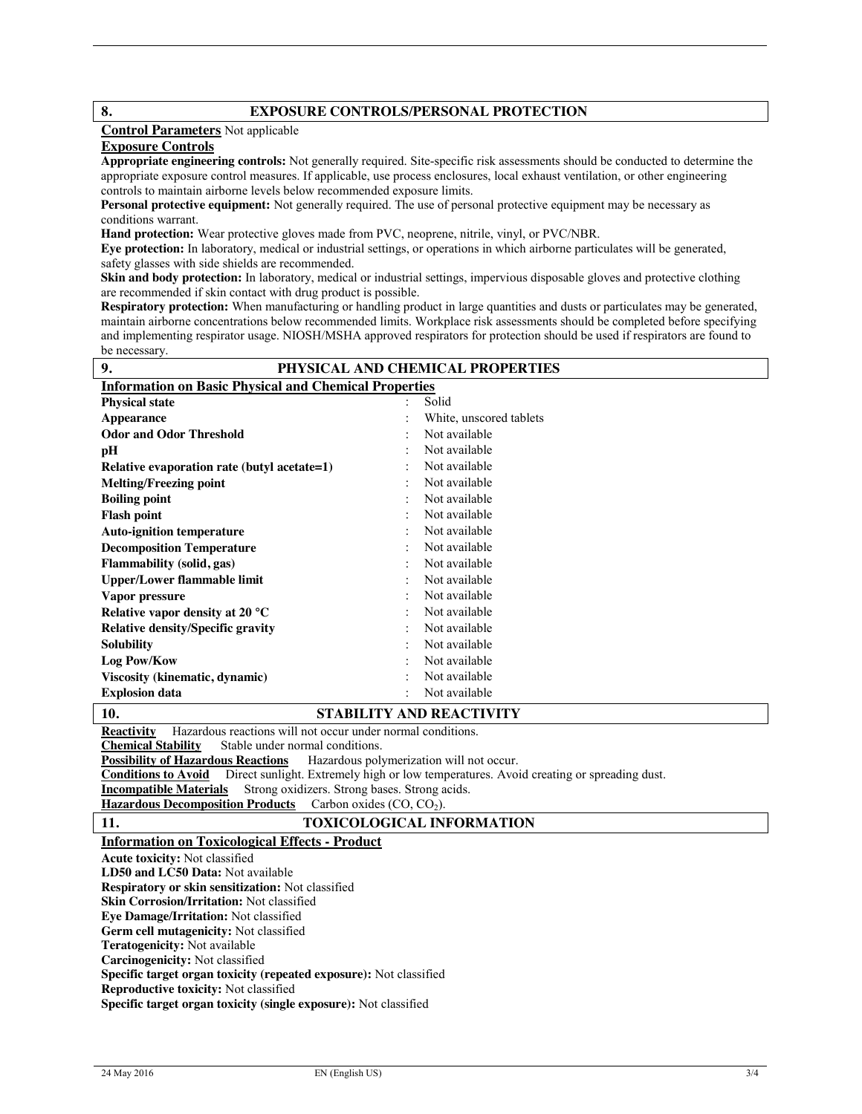## **8. EXPOSURE CONTROLS/PERSONAL PROTECTION**

## **Control Parameters** Not applicable

## **Exposure Controls**

**Appropriate engineering controls:** Not generally required. Site-specific risk assessments should be conducted to determine the appropriate exposure control measures. If applicable, use process enclosures, local exhaust ventilation, or other engineering controls to maintain airborne levels below recommended exposure limits.

**Personal protective equipment:** Not generally required. The use of personal protective equipment may be necessary as conditions warrant.

**Hand protection:** Wear protective gloves made from PVC, neoprene, nitrile, vinyl, or PVC/NBR.

**Eye protection:** In laboratory, medical or industrial settings, or operations in which airborne particulates will be generated, safety glasses with side shields are recommended.

**Skin and body protection:** In laboratory, medical or industrial settings, impervious disposable gloves and protective clothing are recommended if skin contact with drug product is possible.

**Respiratory protection:** When manufacturing or handling product in large quantities and dusts or particulates may be generated, maintain airborne concentrations below recommended limits. Workplace risk assessments should be completed before specifying and implementing respirator usage. NIOSH/MSHA approved respirators for protection should be used if respirators are found to be necessary.

| 9.                                                           | PHYSICAL AND CHEMICAL PROPERTIES |  |  |  |
|--------------------------------------------------------------|----------------------------------|--|--|--|
| <b>Information on Basic Physical and Chemical Properties</b> |                                  |  |  |  |
| <b>Physical state</b>                                        | Solid                            |  |  |  |
| Appearance                                                   | White, unscored tablets          |  |  |  |
| <b>Odor and Odor Threshold</b>                               | Not available                    |  |  |  |
| pН                                                           | Not available                    |  |  |  |
| Relative evaporation rate (butyl acetate=1)                  | Not available                    |  |  |  |
| <b>Melting/Freezing point</b>                                | Not available                    |  |  |  |
| <b>Boiling point</b>                                         | Not available                    |  |  |  |
| <b>Flash point</b>                                           | Not available                    |  |  |  |
| <b>Auto-ignition temperature</b>                             | Not available                    |  |  |  |
| <b>Decomposition Temperature</b>                             | Not available                    |  |  |  |
| <b>Flammability</b> (solid, gas)                             | Not available                    |  |  |  |
| <b>Upper/Lower flammable limit</b>                           | Not available                    |  |  |  |
| Vapor pressure                                               | Not available                    |  |  |  |
| Relative vapor density at 20 °C                              | Not available                    |  |  |  |
| <b>Relative density/Specific gravity</b>                     | Not available                    |  |  |  |
| <b>Solubility</b>                                            | Not available                    |  |  |  |
| Log Pow/Kow                                                  | Not available                    |  |  |  |
| Viscosity (kinematic, dynamic)                               | Not available                    |  |  |  |
| <b>Explosion data</b>                                        | Not available                    |  |  |  |
| 1 A                                                          | COLOUI FOV AND DEA COUVERY       |  |  |  |

## **10. STABILITY AND REACTIVITY**

**Reactivity** Hazardous reactions will not occur under normal conditions.<br>Chemical Stability Stable under normal conditions.

Stable under normal conditions.

**Possibility of Hazardous Reactions** Hazardous polymerization will not occur.

**Conditions to Avoid** Direct sunlight. Extremely high or low temperatures. Avoid creating or spreading dust.<br>**Incompatible Materials** Strong oxidizers. Strong bases. Strong acids.

**Strong oxidizers. Strong bases. Strong acids.** 

Hazardous Decomposition Products Carbon oxides (CO, CO<sub>2</sub>).

## **11. TOXICOLOGICAL INFORMATION**

## **Information on Toxicological Effects - Product**

**Acute toxicity:** Not classified

**LD50 and LC50 Data:** Not available

**Respiratory or skin sensitization:** Not classified

**Skin Corrosion/Irritation:** Not classified

**Eye Damage/Irritation:** Not classified **Germ cell mutagenicity:** Not classified

**Teratogenicity:** Not available **Carcinogenicity:** Not classified

**Specific target organ toxicity (repeated exposure):** Not classified

**Reproductive toxicity:** Not classified

**Specific target organ toxicity (single exposure):** Not classified